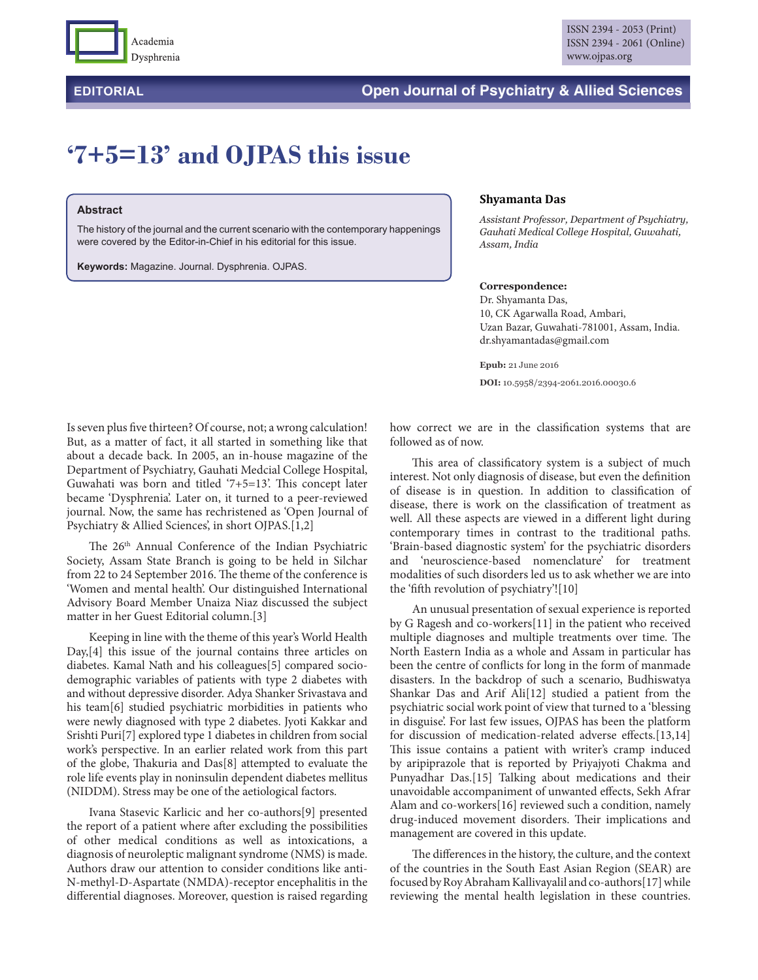

# **EDITORIAL Open Journal of Psychiatry & Allied Sciences**

# **'7+5=13' and OJPAS this issue**

#### **Abstract**

The history of the journal and the current scenario with the contemporary happenings were covered by the Editor-in-Chief in his editorial for this issue.

**Keywords:** Magazine. Journal. Dysphrenia. OJPAS.

#### **Shyamanta Das**

*Assistant Professor, Department of Psychiatry, Gauhati Medical College Hospital, Guwahati, Assam, India*

## **Correspondence:**

Dr. Shyamanta Das, 10, CK Agarwalla Road, Ambari, Uzan Bazar, Guwahati-781001, Assam, India. dr.shyamantadas@gmail.com

**Epub:** 21 June 2016 **DOI:** 10.5958/2394-2061.2016.00030.6

Is seven plus five thirteen? Of course, not; a wrong calculation! But, as a matter of fact, it all started in something like that about a decade back. In 2005, an in-house magazine of the Department of Psychiatry, Gauhati Medcial College Hospital, Guwahati was born and titled '7+5=13'. This concept later became 'Dysphrenia'. Later on, it turned to a peer-reviewed journal. Now, the same has rechristened as 'Open Journal of Psychiatry & Allied Sciences', in short OJPAS.[1,2]

The 26<sup>th</sup> Annual Conference of the Indian Psychiatric Society, Assam State Branch is going to be held in Silchar from 22 to 24 September 2016. The theme of the conference is 'Women and mental health'. Our distinguished International Advisory Board Member Unaiza Niaz discussed the subject matter in her Guest Editorial column.[3]

Keeping in line with the theme of this year's World Health Day,[4] this issue of the journal contains three articles on diabetes. Kamal Nath and his colleagues[5] compared sociodemographic variables of patients with type 2 diabetes with and without depressive disorder. Adya Shanker Srivastava and his team[6] studied psychiatric morbidities in patients who were newly diagnosed with type 2 diabetes. Jyoti Kakkar and Srishti Puri[7] explored type 1 diabetes in children from social work's perspective. In an earlier related work from this part of the globe, Thakuria and Das[8] attempted to evaluate the role life events play in noninsulin dependent diabetes mellitus (NIDDM). Stress may be one of the aetiological factors.

Ivana Stasevic Karlicic and her co-authors[9] presented the report of a patient where after excluding the possibilities of other medical conditions as well as intoxications, a diagnosis of neuroleptic malignant syndrome (NMS) is made. Authors draw our attention to consider conditions like anti-N-methyl-D-Aspartate (NMDA)-receptor encephalitis in the differential diagnoses. Moreover, question is raised regarding how correct we are in the classification systems that are followed as of now.

This area of classificatory system is a subject of much interest. Not only diagnosis of disease, but even the definition of disease is in question. In addition to classification of disease, there is work on the classification of treatment as well. All these aspects are viewed in a different light during contemporary times in contrast to the traditional paths. 'Brain-based diagnostic system' for the psychiatric disorders and 'neuroscience-based nomenclature' for treatment modalities of such disorders led us to ask whether we are into the 'fifth revolution of psychiatry'![10]

An unusual presentation of sexual experience is reported by G Ragesh and co-workers[11] in the patient who received multiple diagnoses and multiple treatments over time. The North Eastern India as a whole and Assam in particular has been the centre of conflicts for long in the form of manmade disasters. In the backdrop of such a scenario, Budhiswatya Shankar Das and Arif Ali[12] studied a patient from the psychiatric social work point of view that turned to a 'blessing in disguise'. For last few issues, OJPAS has been the platform for discussion of medication-related adverse effects.[13,14] This issue contains a patient with writer's cramp induced by aripiprazole that is reported by Priyajyoti Chakma and Punyadhar Das.[15] Talking about medications and their unavoidable accompaniment of unwanted effects, Sekh Afrar Alam and co-workers[16] reviewed such a condition, namely drug-induced movement disorders. Their implications and management are covered in this update.

The differences in the history, the culture, and the context of the countries in the South East Asian Region (SEAR) are focused by Roy Abraham Kallivayalil and co-authors[17] while reviewing the mental health legislation in these countries.